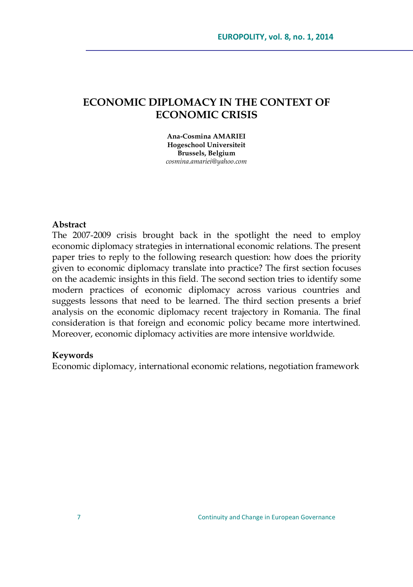# **ECONOMIC DIPLOMACY IN THE CONTEXT OF ECONOMIC CRISIS**

**Ana-Cosmina AMARIEI Hogeschool Universiteit Brussels, Belgium** *cosmina.amariei@yahoo.com*

### **Abstract**

The 2007-2009 crisis brought back in the spotlight the need to employ economic diplomacy strategies in international economic relations. The present paper tries to reply to the following research question: how does the priority given to economic diplomacy translate into practice? The first section focuses on the academic insights in this field. The second section tries to identify some modern practices of economic diplomacy across various countries and suggests lessons that need to be learned. The third section presents a brief analysis on the economic diplomacy recent trajectory in Romania. The final consideration is that foreign and economic policy became more intertwined. Moreover, economic diplomacy activities are more intensive worldwide.

#### **Keywords**

Economic diplomacy, international economic relations, negotiation framework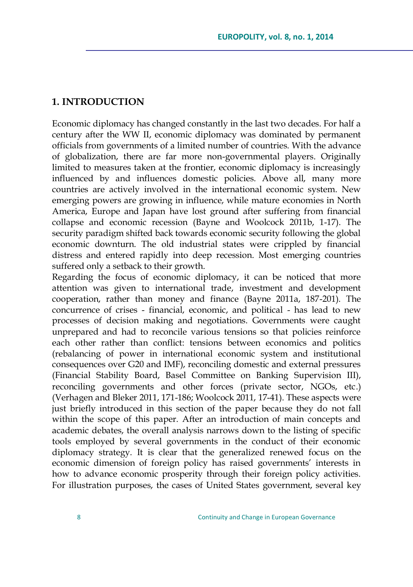## **1. INTRODUCTION**

Economic diplomacy has changed constantly in the last two decades. For half a century after the WW II, economic diplomacy was dominated by permanent officials from governments of a limited number of countries. With the advance of globalization, there are far more non-governmental players. Originally limited to measures taken at the frontier, economic diplomacy is increasingly influenced by and influences domestic policies. Above all, many more countries are actively involved in the international economic system. New emerging powers are growing in influence, while mature economies in North America, Europe and Japan have lost ground after suffering from financial collapse and economic recession (Bayne and Woolcock 2011b, 1-17). The security paradigm shifted back towards economic security following the global economic downturn. The old industrial states were crippled by financial distress and entered rapidly into deep recession. Most emerging countries suffered only a setback to their growth.

Regarding the focus of economic diplomacy, it can be noticed that more attention was given to international trade, investment and development cooperation, rather than money and finance (Bayne 2011a, 187-201). The concurrence of crises - financial, economic, and political - has lead to new processes of decision making and negotiations. Governments were caught unprepared and had to reconcile various tensions so that policies reinforce each other rather than conflict: tensions between economics and politics (rebalancing of power in international economic system and institutional consequences over G20 and IMF), reconciling domestic and external pressures (Financial Stability Board, Basel Committee on Banking Supervision III), reconciling governments and other forces (private sector, NGOs, etc.) (Verhagen and Bleker 2011, 171-186; Woolcock 2011, 17-41). These aspects were just briefly introduced in this section of the paper because they do not fall within the scope of this paper. After an introduction of main concepts and academic debates, the overall analysis narrows down to the listing of specific tools employed by several governments in the conduct of their economic diplomacy strategy. It is clear that the generalized renewed focus on the economic dimension of foreign policy has raised governments' interests in how to advance economic prosperity through their foreign policy activities. For illustration purposes, the cases of United States government, several key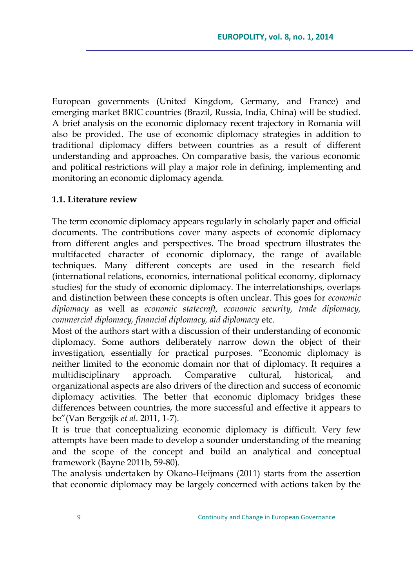European governments (United Kingdom, Germany, and France) and emerging market BRIC countries (Brazil, Russia, India, China) will be studied. A brief analysis on the economic diplomacy recent trajectory in Romania will also be provided. The use of economic diplomacy strategies in addition to traditional diplomacy differs between countries as a result of different understanding and approaches. On comparative basis, the various economic and political restrictions will play a major role in defining, implementing and monitoring an economic diplomacy agenda.

### **1.1. Literature review**

The term economic diplomacy appears regularly in scholarly paper and official documents. The contributions cover many aspects of economic diplomacy from different angles and perspectives. The broad spectrum illustrates the multifaceted character of economic diplomacy, the range of available techniques. Many different concepts are used in the research field (international relations, economics, international political economy, diplomacy studies) for the study of economic diplomacy. The interrelationships, overlaps and distinction between these concepts is often unclear. This goes for *economic diplomacy* as well as *economic statecraft, economic security, trade diplomacy, commercial diplomacy, financial diplomacy, aid diplomacy* etc.

Most of the authors start with a discussion of their understanding of economic diplomacy. Some authors deliberately narrow down the object of their investigation, essentially for practical purposes. "Economic diplomacy is neither limited to the economic domain nor that of diplomacy. It requires a multidisciplinary approach. Comparative cultural, historical, and organizational aspects are also drivers of the direction and success of economic diplomacy activities. The better that economic diplomacy bridges these differences between countries, the more successful and effective it appears to be"(Van Bergeijk *et al*. 2011, 1-7).

It is true that conceptualizing economic diplomacy is difficult. Very few attempts have been made to develop a sounder understanding of the meaning and the scope of the concept and build an analytical and conceptual framework (Bayne 2011b, 59-80).

The analysis undertaken by Okano-Heijmans (2011) starts from the assertion that economic diplomacy may be largely concerned with actions taken by the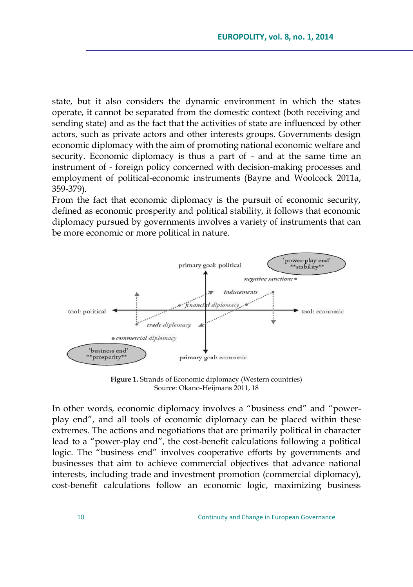state, but it also considers the dynamic environment in which the states operate, it cannot be separated from the domestic context (both receiving and sending state) and as the fact that the activities of state are influenced by other actors, such as private actors and other interests groups. Governments design economic diplomacy with the aim of promoting national economic welfare and security. Economic diplomacy is thus a part of - and at the same time an instrument of - foreign policy concerned with decision-making processes and employment of political-economic instruments (Bayne and Woolcock 2011a, 359-379).

From the fact that economic diplomacy is the pursuit of economic security, defined as economic prosperity and political stability, it follows that economic diplomacy pursued by governments involves a variety of instruments that can be more economic or more political in nature.



Figure 1. Strands of Economic diplomacy (Western countries) Source: Okano-Heijmans 2011, 18

In other words, economic diplomacy involves a "business end" and "powerplay end", and all tools of economic diplomacy can be placed within these extremes. The actions and negotiations that are primarily political in character lead to a "power-play end", the cost-benefit calculations following a political logic. The "business end" involves cooperative efforts by governments and businesses that aim to achieve commercial objectives that advance national interests, including trade and investment promotion (commercial diplomacy), cost-benefit calculations follow an economic logic, maximizing business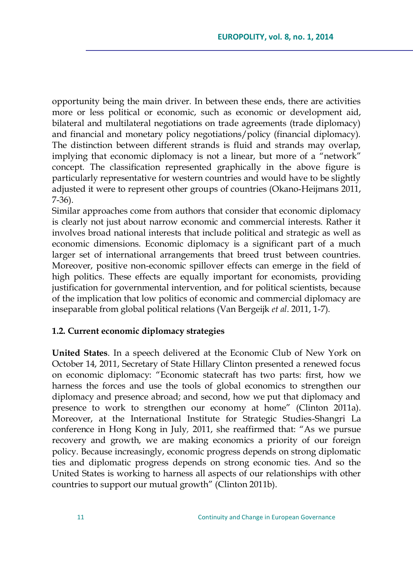opportunity being the main driver. In between these ends, there are activities more or less political or economic, such as economic or development aid, bilateral and multilateral negotiations on trade agreements (trade diplomacy) and financial and monetary policy negotiations/policy (financial diplomacy). The distinction between different strands is fluid and strands may overlap, implying that economic diplomacy is not a linear, but more of a "network" concept. The classification represented graphically in the above figure is particularly representative for western countries and would have to be slightly adjusted it were to represent other groups of countries (Okano-Heijmans 2011, 7-36).

Similar approaches come from authors that consider that economic diplomacy is clearly not just about narrow economic and commercial interests. Rather it involves broad national interests that include political and strategic as well as economic dimensions. Economic diplomacy is a significant part of a much larger set of international arrangements that breed trust between countries. Moreover, positive non-economic spillover effects can emerge in the field of high politics. These effects are equally important for economists, providing justification for governmental intervention, and for political scientists, because of the implication that low politics of economic and commercial diplomacy are inseparable from global political relations (Van Bergeijk *et al*. 2011, 1-7).

### **1.2. Current economic diplomacy strategies**

**United States**. In a speech delivered at the Economic Club of New York on October 14, 2011, Secretary of State Hillary Clinton presented a renewed focus on economic diplomacy: "Economic statecraft has two parts: first, how we harness the forces and use the tools of global economics to strengthen our diplomacy and presence abroad; and second, how we put that diplomacy and presence to work to strengthen our economy at home" (Clinton 2011a). Moreover, at the International Institute for Strategic Studies-Shangri La conference in Hong Kong in July*,* 2011, she reaffirmed that: "As we pursue recovery and growth, we are making economics a priority of our foreign policy. Because increasingly, economic progress depends on strong diplomatic ties and diplomatic progress depends on strong economic ties. And so the United States is working to harness all aspects of our relationships with other countries to support our mutual growth" (Clinton 2011b).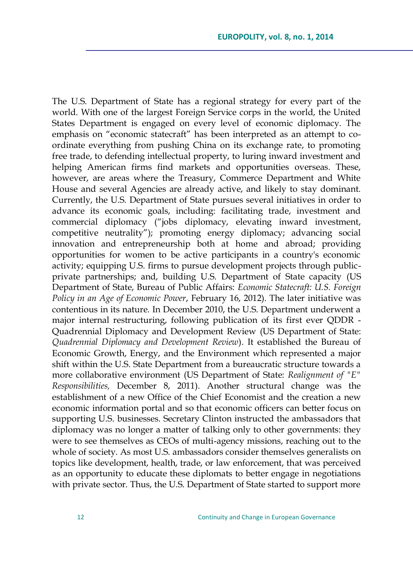The U.S. Department of State has a regional strategy for every part of the world. With one of the largest Foreign Service corps in the world, the United States Department is engaged on every level of economic diplomacy. The emphasis on "economic statecraft" has been interpreted as an attempt to coordinate everything from pushing China on its exchange rate, to promoting free trade, to defending intellectual property, to luring inward investment and helping American firms find markets and opportunities overseas. These, however, are areas where the Treasury, Commerce Department and White House and several Agencies are already active, and likely to stay dominant. Currently, the U.S. Department of State pursues several initiatives in order to advance its economic goals, including: facilitating trade, investment and commercial diplomacy ("jobs diplomacy, elevating inward investment, competitive neutrality"); promoting energy diplomacy; advancing social innovation and entrepreneurship both at home and abroad; providing opportunities for women to be active participants in a country's economic activity; equipping U.S. firms to pursue development projects through publicprivate partnerships; and, building U.S. Department of State capacity (US Department of State, Bureau of Public Affairs: *Economic Statecraft: U.S. Foreign Policy in an Age of Economic Power*, February 16, 2012). The later initiative was contentious in its nature. In December 2010, the U.S. Department underwent a major internal restructuring, following publication of its first ever QDDR - Quadrennial Diplomacy and Development Review (US Department of State: *Quadrennial Diplomacy and Development Review*). It established the Bureau of Economic Growth, Energy, and the Environment which represented a major shift within the U.S. State Department from a bureaucratic structure towards a more collaborative environment (US Department of State: *Realignment of "E" Responsibilities,* December 8, 2011). Another structural change was the establishment of a new Office of the Chief Economist and the creation a new economic information portal and so that economic officers can better focus on supporting U.S. businesses. Secretary Clinton instructed the ambassadors that diplomacy was no longer a matter of talking only to other governments: they were to see themselves as CEOs of multi-agency missions, reaching out to the whole of society. As most U.S. ambassadors consider themselves generalists on topics like development, health, trade, or law enforcement, that was perceived as an opportunity to educate these diplomats to better engage in negotiations with private sector. Thus, the U.S. Department of State started to support more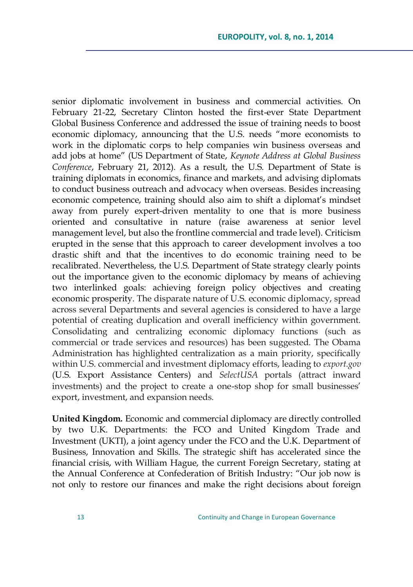senior diplomatic involvement in business and commercial activities. On February 21-22, Secretary Clinton hosted the first-ever State Department Global Business Conference and addressed the issue of training needs to boost economic diplomacy, announcing that the U.S. needs "more economists to work in the diplomatic corps to help companies win business overseas and add jobs at home" (US Department of State, *Keynote Address at Global Business Conference*, February 21, 2012). As a result, the U.S. Department of State is training diplomats in economics, finance and markets, and advising diplomats to conduct business outreach and advocacy when overseas. Besides increasing economic competence, training should also aim to shift a diplomat's mindset away from purely expert-driven mentality to one that is more business oriented and consultative in nature (raise awareness at senior level management level, but also the frontline commercial and trade level). Criticism erupted in the sense that this approach to career development involves a too drastic shift and that the incentives to do economic training need to be recalibrated. Nevertheless, the U.S. Department of State strategy clearly points out the importance given to the economic diplomacy by means of achieving two interlinked goals: achieving foreign policy objectives and creating economic prosperity. The disparate nature of U.S. economic diplomacy, spread across several Departments and several agencies is considered to have a large potential of creating duplication and overall inefficiency within government. Consolidating and centralizing economic diplomacy functions (such as commercial or trade services and resources) has been suggested. The Obama Administration has highlighted centralization as a main priority, specifically within U.S. commercial and investment diplomacy efforts, leading to *export.gov* (U.S. Export Assistance Centers) and *SelectUSA* portals (attract inward investments) and the project to create a one-stop shop for small businesses' export, investment, and expansion needs.

**United Kingdom.** Economic and commercial diplomacy are directly controlled by two U.K. Departments: the FCO and United Kingdom Trade and Investment (UKTI), a joint agency under the FCO and the U.K. Department of Business, Innovation and Skills. The strategic shift has accelerated since the financial crisis, with William Hague, the current Foreign Secretary, stating at the Annual Conference at Confederation of British Industry: "Our job now is not only to restore our finances and make the right decisions about foreign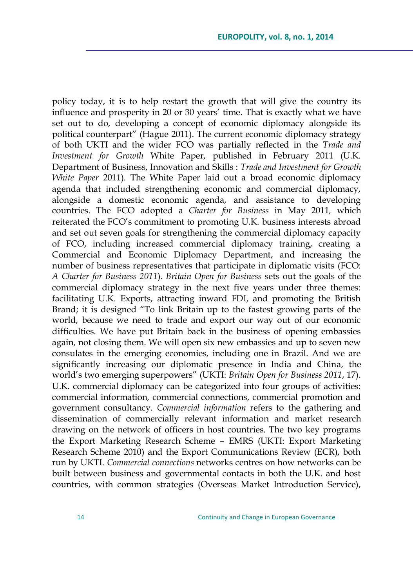policy today, it is to help restart the growth that will give the country its influence and prosperity in 20 or 30 years' time. That is exactly what we have set out to do, developing a concept of economic diplomacy alongside its political counterpart" (Hague 2011). The current economic diplomacy strategy of both UKTI and the wider FCO was partially reflected in the *Trade and Investment for Growth* White Paper, published in February 2011 (U.K. Department of Business, Innovation and Skills : *Trade and Investment for Growth White Paper* 2011). The White Paper laid out a broad economic diplomacy agenda that included strengthening economic and commercial diplomacy, alongside a domestic economic agenda, and assistance to developing countries. The FCO adopted a *Charter for Business* in May 2011*,* which reiterated the FCO"s commitment to promoting U.K. business interests abroad and set out seven goals for strengthening the commercial diplomacy capacity of FCO, including increased commercial diplomacy training, creating a Commercial and Economic Diplomacy Department, and increasing the number of business representatives that participate in diplomatic visits (FCO: *A Charter for Business 2011*). *Britain Open for Business* sets out the goals of the commercial diplomacy strategy in the next five years under three themes: facilitating U.K. Exports, attracting inward FDI, and promoting the British Brand; it is designed "To link Britain up to the fastest growing parts of the world, because we need to trade and export our way out of our economic difficulties. We have put Britain back in the business of opening embassies again, not closing them. We will open six new embassies and up to seven new consulates in the emerging economies, including one in Brazil. And we are significantly increasing our diplomatic presence in India and China, the world"s two emerging superpowers" (UKTI: *Britain Open for Business 2011*, 17). U.K. commercial diplomacy can be categorized into four groups of activities: commercial information, commercial connections, commercial promotion and government consultancy. *Commercial information* refers to the gathering and dissemination of commercially relevant information and market research drawing on the network of officers in host countries. The two key programs the Export Marketing Research Scheme – EMRS (UKTI: Export Marketing Research Scheme 2010) and the Export Communications Review (ECR), both run by UKTI. *Commercial connections* networks centres on how networks can be built between business and governmental contacts in both the U.K. and host countries, with common strategies (Overseas Market Introduction Service),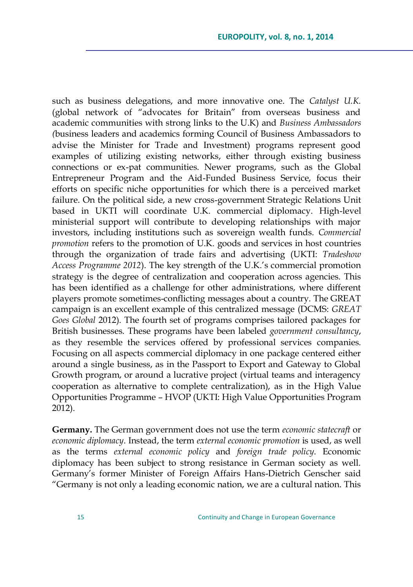such as business delegations, and more innovative one. The *Catalyst U.K.* (global network of "advocates for Britain" from overseas business and academic communities with strong links to the U.K) and *Business Ambassadors (*business leaders and academics forming Council of Business Ambassadors to advise the Minister for Trade and Investment) programs represent good examples of utilizing existing networks, either through existing business connections or ex-pat communities. Newer programs, such as the Global Entrepreneur Program and the Aid-Funded Business Service, focus their efforts on specific niche opportunities for which there is a perceived market failure. On the political side, a new cross-government Strategic Relations Unit based in UKTI will coordinate U.K. commercial diplomacy. High-level ministerial support will contribute to developing relationships with major investors, including institutions such as sovereign wealth funds. *Commercial promotion* refers to the promotion of U.K. goods and services in host countries through the organization of trade fairs and advertising (UKTI: *Tradeshow Access Programme 2012*). The key strength of the U.K."s commercial promotion strategy is the degree of centralization and cooperation across agencies. This has been identified as a challenge for other administrations, where different players promote sometimes-conflicting messages about a country. The GREAT campaign is an excellent example of this centralized message (DCMS: *GREAT Goes Global* 2012). The fourth set of programs comprises tailored packages for British businesses. These programs have been labeled *government consultancy*, as they resemble the services offered by professional services companies. Focusing on all aspects commercial diplomacy in one package centered either around a single business, as in the Passport to Export and Gateway to Global Growth program, or around a lucrative project (virtual teams and interagency cooperation as alternative to complete centralization), as in the High Value Opportunities Programme – HVOP (UKTI: High Value Opportunities Program 2012).

**Germany.** The German government does not use the term *economic statecraft* or *economic diplomacy*. Instead, the term *external economic promotion* is used, as well as the terms *external economic policy* and *foreign trade policy*. Economic diplomacy has been subject to strong resistance in German society as well. Germany"s former Minister of Foreign Affairs Hans-Dietrich Genscher said "Germany is not only a leading economic nation, we are a cultural nation. This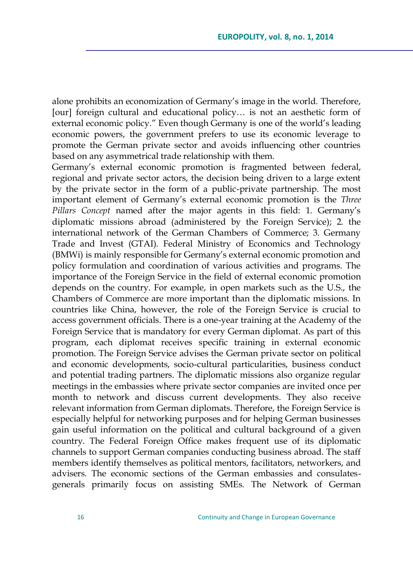alone prohibits an economization of Germany"s image in the world. Therefore, [our] foreign cultural and educational policy... is not an aesthetic form of external economic policy." Even though Germany is one of the world"s leading economic powers, the government prefers to use its economic leverage to promote the German private sector and avoids influencing other countries based on any asymmetrical trade relationship with them.

Germany's external economic promotion is fragmented between federal, regional and private sector actors, the decision being driven to a large extent by the private sector in the form of a public-private partnership. The most important element of Germany"s external economic promotion is the *Three Pillars Concept* named after the major agents in this field: 1. Germany"s diplomatic missions abroad (administered by the Foreign Service); 2. the international network of the German Chambers of Commerce; 3. Germany Trade and Invest (GTAI). Federal Ministry of Economics and Technology (BMWi) is mainly responsible for Germany"s external economic promotion and policy formulation and coordination of various activities and programs. The importance of the Foreign Service in the field of external economic promotion depends on the country. For example, in open markets such as the U.S., the Chambers of Commerce are more important than the diplomatic missions. In countries like China, however, the role of the Foreign Service is crucial to access government officials. There is a one-year training at the Academy of the Foreign Service that is mandatory for every German diplomat. As part of this program, each diplomat receives specific training in external economic promotion. The Foreign Service advises the German private sector on political and economic developments, socio-cultural particularities, business conduct and potential trading partners. The diplomatic missions also organize regular meetings in the embassies where private sector companies are invited once per month to network and discuss current developments. They also receive relevant information from German diplomats. Therefore, the Foreign Service is especially helpful for networking purposes and for helping German businesses gain useful information on the political and cultural background of a given country. The Federal Foreign Office makes frequent use of its diplomatic channels to support German companies conducting business abroad. The staff members identify themselves as political mentors, facilitators, networkers, and advisers. The economic sections of the German embassies and consulatesgenerals primarily focus on assisting SMEs. The Network of German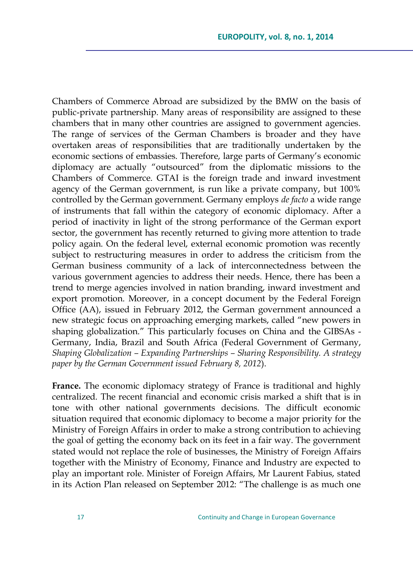Chambers of Commerce Abroad are subsidized by the BMW on the basis of public-private partnership. Many areas of responsibility are assigned to these chambers that in many other countries are assigned to government agencies. The range of services of the German Chambers is broader and they have overtaken areas of responsibilities that are traditionally undertaken by the economic sections of embassies. Therefore, large parts of Germany"s economic diplomacy are actually "outsourced" from the diplomatic missions to the Chambers of Commerce. GTAI is the foreign trade and inward investment agency of the German government, is run like a private company, but 100% controlled by the German government. Germany employs *de facto* a wide range of instruments that fall within the category of economic diplomacy. After a period of inactivity in light of the strong performance of the German export sector, the government has recently returned to giving more attention to trade policy again. On the federal level, external economic promotion was recently subject to restructuring measures in order to address the criticism from the German business community of a lack of interconnectedness between the various government agencies to address their needs. Hence, there has been a trend to merge agencies involved in nation branding, inward investment and export promotion. Moreover, in a concept document by the Federal Foreign Office (AA), issued in February 2012, the German government announced a new strategic focus on approaching emerging markets, called "new powers in shaping globalization." This particularly focuses on China and the GIBSAs - Germany, India, Brazil and South Africa (Federal Government of Germany, *Shaping Globalization – Expanding Partnerships – Sharing Responsibility. A strategy paper by the German Government issued February 8, 2012*).

**France.** The economic diplomacy strategy of France is traditional and highly centralized. The recent financial and economic crisis marked a shift that is in tone with other national governments decisions. The difficult economic situation required that economic diplomacy to become a major priority for the Ministry of Foreign Affairs in order to make a strong contribution to achieving the goal of getting the economy back on its feet in a fair way. The government stated would not replace the role of businesses, the Ministry of Foreign Affairs together with the Ministry of Economy, Finance and Industry are expected to play an important role. Minister of Foreign Affairs, Mr Laurent Fabius, stated in its Action Plan released on September 2012: "The challenge is as much one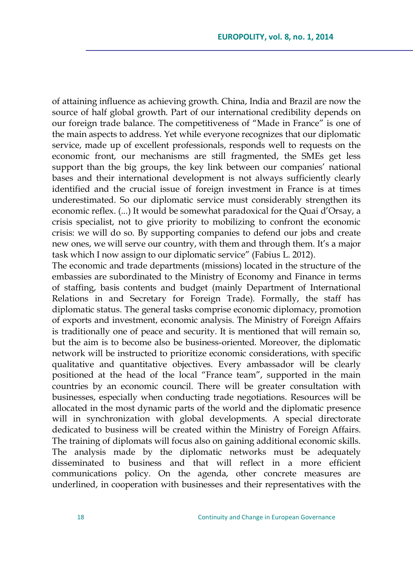of attaining influence as achieving growth. China, India and Brazil are now the source of half global growth. Part of our international credibility depends on our foreign trade balance. The competitiveness of "Made in France" is one of the main aspects to address. Yet while everyone recognizes that our diplomatic service, made up of excellent professionals, responds well to requests on the economic front, our mechanisms are still fragmented, the SMEs get less support than the big groups, the key link between our companies' national bases and their international development is not always sufficiently clearly identified and the crucial issue of foreign investment in France is at times underestimated. So our diplomatic service must considerably strengthen its economic reflex. (...) It would be somewhat paradoxical for the Quai d"Orsay, a crisis specialist, not to give priority to mobilizing to confront the economic crisis: we will do so. By supporting companies to defend our jobs and create new ones, we will serve our country, with them and through them. It's a major task which I now assign to our diplomatic service" (Fabius L. 2012).

The economic and trade departments (missions) located in the structure of the embassies are subordinated to the Ministry of Economy and Finance in terms of staffing, basis contents and budget (mainly Department of International Relations in and Secretary for Foreign Trade). Formally, the staff has diplomatic status. The general tasks comprise economic diplomacy, promotion of exports and investment, economic analysis. The Ministry of Foreign Affairs is traditionally one of peace and security. It is mentioned that will remain so, but the aim is to become also be business-oriented. Moreover, the diplomatic network will be instructed to prioritize economic considerations, with specific qualitative and quantitative objectives. Every ambassador will be clearly positioned at the head of the local "France team", supported in the main countries by an economic council. There will be greater consultation with businesses, especially when conducting trade negotiations. Resources will be allocated in the most dynamic parts of the world and the diplomatic presence will in synchronization with global developments. A special directorate dedicated to business will be created within the Ministry of Foreign Affairs. The training of diplomats will focus also on gaining additional economic skills. The analysis made by the diplomatic networks must be adequately disseminated to business and that will reflect in a more efficient communications policy. On the agenda, other concrete measures are underlined, in cooperation with businesses and their representatives with the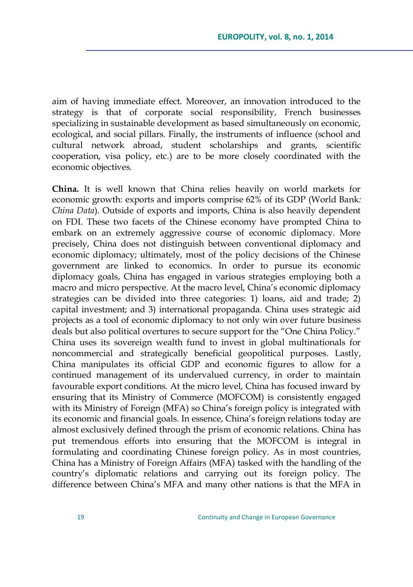aim of having immediate effect. Moreover, an innovation introduced to the strategy is that of corporate social responsibility, French businesses specializing in sustainable development as based simultaneously on economic, ecological, and social pillars. Finally, the instruments of influence (school and cultural network abroad, student scholarships and grants, scientific cooperation, visa policy, etc.) are to be more closely coordinated with the economic objectives.

**China.** It is well known that China relies heavily on world markets for economic growth: exports and imports comprise 62% of its GDP (World Bank*: China Data*). Outside of exports and imports, China is also heavily dependent on FDI. These two facets of the Chinese economy have prompted China to embark on an extremely aggressive course of economic diplomacy. More precisely, China does not distinguish between conventional diplomacy and economic diplomacy; ultimately, most of the policy decisions of the Chinese government are linked to economics. In order to pursue its economic diplomacy goals, China has engaged in various strategies employing both a macro and micro perspective. At the macro level, China"s economic diplomacy strategies can be divided into three categories: 1) loans, aid and trade; 2) capital investment; and 3) international propaganda. China uses strategic aid projects as a tool of economic diplomacy to not only win over future business deals but also political overtures to secure support for the "One China Policy." China uses its sovereign wealth fund to invest in global multinationals for noncommercial and strategically beneficial geopolitical purposes. Lastly, China manipulates its official GDP and economic figures to allow for a continued management of its undervalued currency, in order to maintain favourable export conditions. At the micro level, China has focused inward by ensuring that its Ministry of Commerce (MOFCOM) is consistently engaged with its Ministry of Foreign (MFA) so China"s foreign policy is integrated with its economic and financial goals. In essence, China"s foreign relations today are almost exclusively defined through the prism of economic relations. China has put tremendous efforts into ensuring that the MOFCOM is integral in formulating and coordinating Chinese foreign policy. As in most countries, China has a Ministry of Foreign Affairs (MFA) tasked with the handling of the country"s diplomatic relations and carrying out its foreign policy. The difference between China"s MFA and many other nations is that the MFA in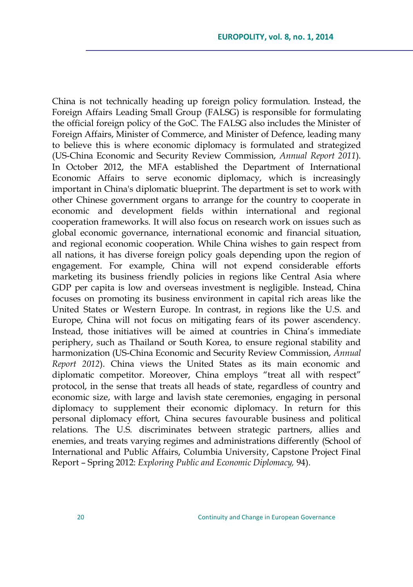China is not technically heading up foreign policy formulation. Instead, the Foreign Affairs Leading Small Group (FALSG) is responsible for formulating the official foreign policy of the GoC. The FALSG also includes the Minister of Foreign Affairs, Minister of Commerce, and Minister of Defence, leading many to believe this is where economic diplomacy is formulated and strategized (US-China Economic and Security Review Commission, *Annual Report 2011*). In October 2012, the MFA established the Department of International Economic Affairs to serve economic diplomacy, which is increasingly important in China's diplomatic blueprint. The department is set to work with other Chinese government organs to arrange for the country to cooperate in economic and development fields within international and regional cooperation frameworks. It will also focus on research work on issues such as global economic governance, international economic and financial situation, and regional economic cooperation. While China wishes to gain respect from all nations, it has diverse foreign policy goals depending upon the region of engagement. For example, China will not expend considerable efforts marketing its business friendly policies in regions like Central Asia where GDP per capita is low and overseas investment is negligible. Instead, China focuses on promoting its business environment in capital rich areas like the United States or Western Europe. In contrast, in regions like the U.S. and Europe, China will not focus on mitigating fears of its power ascendency. Instead, those initiatives will be aimed at countries in China"s immediate periphery, such as Thailand or South Korea, to ensure regional stability and harmonization (US-China Economic and Security Review Commission, *Annual Report 2012*). China views the United States as its main economic and diplomatic competitor. Moreover, China employs "treat all with respect" protocol, in the sense that treats all heads of state, regardless of country and economic size, with large and lavish state ceremonies, engaging in personal diplomacy to supplement their economic diplomacy. In return for this personal diplomacy effort, China secures favourable business and political relations. The U.S. discriminates between strategic partners, allies and enemies, and treats varying regimes and administrations differently (School of International and Public Affairs, Columbia University, Capstone Project Final Report – Spring 2012: *Exploring Public and Economic Diplomacy,* 94).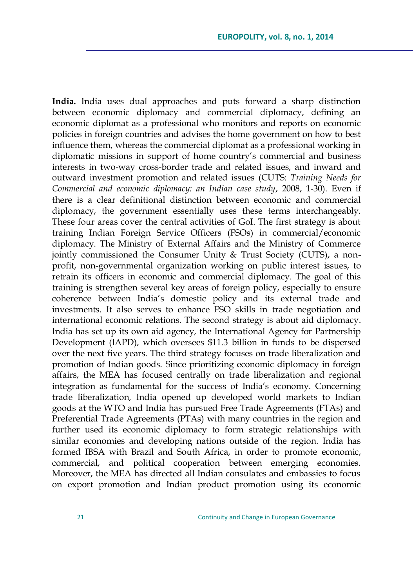**India.** India uses dual approaches and puts forward a sharp distinction between economic diplomacy and commercial diplomacy, defining an economic diplomat as a professional who monitors and reports on economic policies in foreign countries and advises the home government on how to best influence them, whereas the commercial diplomat as a professional working in diplomatic missions in support of home country"s commercial and business interests in two-way cross-border trade and related issues, and inward and outward investment promotion and related issues (CUTS: *Training Needs for Commercial and economic diplomacy: an Indian case study*, 2008, 1-30). Even if there is a clear definitional distinction between economic and commercial diplomacy, the government essentially uses these terms interchangeably. These four areas cover the central activities of GoI. The first strategy is about training Indian Foreign Service Officers (FSOs) in commercial/economic diplomacy. The Ministry of External Affairs and the Ministry of Commerce jointly commissioned the Consumer Unity & Trust Society (CUTS), a nonprofit, non-governmental organization working on public interest issues, to retrain its officers in economic and commercial diplomacy. The goal of this training is strengthen several key areas of foreign policy, especially to ensure coherence between India"s domestic policy and its external trade and investments. It also serves to enhance FSO skills in trade negotiation and international economic relations. The second strategy is about aid diplomacy. India has set up its own aid agency, the International Agency for Partnership Development (IAPD), which oversees \$11.3 billion in funds to be dispersed over the next five years. The third strategy focuses on trade liberalization and promotion of Indian goods. Since prioritizing economic diplomacy in foreign affairs, the MEA has focused centrally on trade liberalization and regional integration as fundamental for the success of India"s economy. Concerning trade liberalization, India opened up developed world markets to Indian goods at the WTO and India has pursued Free Trade Agreements (FTAs) and Preferential Trade Agreements (PTAs) with many countries in the region and further used its economic diplomacy to form strategic relationships with similar economies and developing nations outside of the region. India has formed IBSA with Brazil and South Africa, in order to promote economic, commercial, and political cooperation between emerging economies. Moreover, the MEA has directed all Indian consulates and embassies to focus on export promotion and Indian product promotion using its economic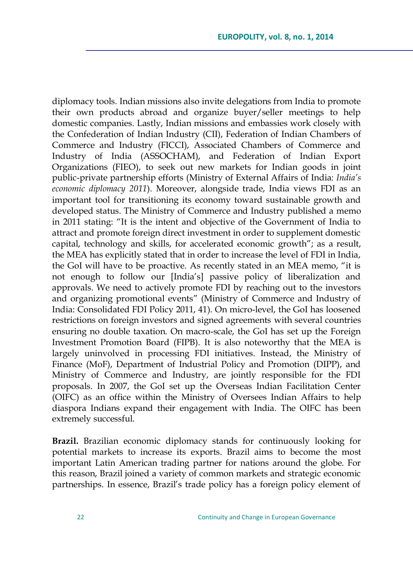diplomacy tools. Indian missions also invite delegations from India to promote their own products abroad and organize buyer/seller meetings to help domestic companies. Lastly, Indian missions and embassies work closely with the Confederation of Indian Industry (CII), Federation of Indian Chambers of Commerce and Industry (FICCI), Associated Chambers of Commerce and Industry of India (ASSOCHAM), and Federation of Indian Export Organizations (FIEO), to seek out new markets for Indian goods in joint public-private partnership efforts (Ministry of External Affairs of India: *India's economic diplomacy 2011*). Moreover, alongside trade, India views FDI as an important tool for transitioning its economy toward sustainable growth and developed status. The Ministry of Commerce and Industry published a memo in 2011 stating: "It is the intent and objective of the Government of India to attract and promote foreign direct investment in order to supplement domestic capital, technology and skills, for accelerated economic growth"; as a result, the MEA has explicitly stated that in order to increase the level of FDI in India, the GoI will have to be proactive. As recently stated in an MEA memo, "it is not enough to follow our [India"s] passive policy of liberalization and approvals. We need to actively promote FDI by reaching out to the investors and organizing promotional events" (Ministry of Commerce and Industry of India: Consolidated FDI Policy 2011, 41). On micro-level, the GoI has loosened restrictions on foreign investors and signed agreements with several countries ensuring no double taxation. On macro-scale, the GoI has set up the Foreign Investment Promotion Board (FIPB). It is also noteworthy that the MEA is largely uninvolved in processing FDI initiatives. Instead, the Ministry of Finance (MoF), Department of Industrial Policy and Promotion (DIPP), and Ministry of Commerce and Industry, are jointly responsible for the FDI proposals. In 2007, the GoI set up the Overseas Indian Facilitation Center (OIFC) as an office within the Ministry of Oversees Indian Affairs to help diaspora Indians expand their engagement with India. The OIFC has been extremely successful.

**Brazil.** Brazilian economic diplomacy stands for continuously looking for potential markets to increase its exports. Brazil aims to become the most important Latin American trading partner for nations around the globe. For this reason, Brazil joined a variety of common markets and strategic economic partnerships. In essence, Brazil"s trade policy has a foreign policy element of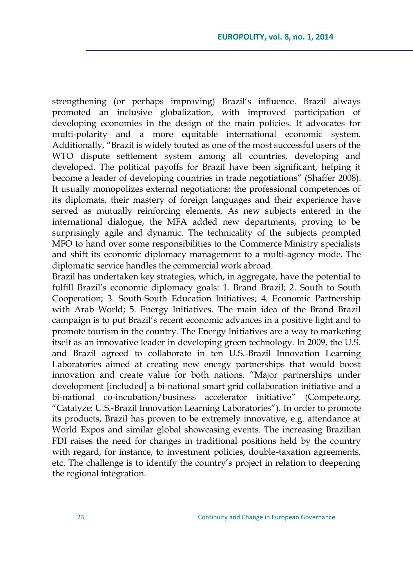strengthening (or perhaps improving) Brazil"s influence. Brazil always promoted an inclusive globalization, with improved participation of developing economies in the design of the main policies. It advocates for multi-polarity and a more equitable international economic system. Additionally, "Brazil is widely touted as one of the most successful users of the WTO dispute settlement system among all countries, developing and developed. The political payoffs for Brazil have been significant, helping it become a leader of developing countries in trade negotiations" (Shaffer 2008). It usually monopolizes external negotiations: the professional competences of its diplomats, their mastery of foreign languages and their experience have served as mutually reinforcing elements. As new subjects entered in the international dialogue, the MFA added new departments, proving to be surprisingly agile and dynamic. The technicality of the subjects prompted MFO to hand over some responsibilities to the Commerce Ministry specialists and shift its economic diplomacy management to a multi-agency mode*.* The diplomatic service handles the commercial work abroad.

Brazil has undertaken key strategies, which, in aggregate, have the potential to fulfill Brazil's economic diplomacy goals: 1. Brand Brazil; 2. South to South Cooperation; 3. South‐South Education Initiatives; 4. Economic Partnership with Arab World; 5. Energy Initiatives. The main idea of the Brand Brazil campaign is to put Brazil"s recent economic advances in a positive light and to promote tourism in the country. The Energy Initiatives are a way to marketing itself as an innovative leader in developing green technology. In 2009, the U.S. and Brazil agreed to collaborate in ten U.S.-Brazil Innovation Learning Laboratories aimed at creating new energy partnerships that would boost innovation and create value for both nations. "Major partnerships under development [included] a bi-national smart grid collaboration initiative and a bi-national co-incubation/business accelerator initiative" (Compete.org. "Catalyze: U.S.‐Brazil Innovation Learning Laboratories"). In order to promote its products, Brazil has proven to be extremely innovative, e.g. attendance at World Expos and similar global showcasing events. The increasing Brazilian FDI raises the need for changes in traditional positions held by the country with regard, for instance, to investment policies, double-taxation agreements, etc. The challenge is to identify the country"s project in relation to deepening the regional integration.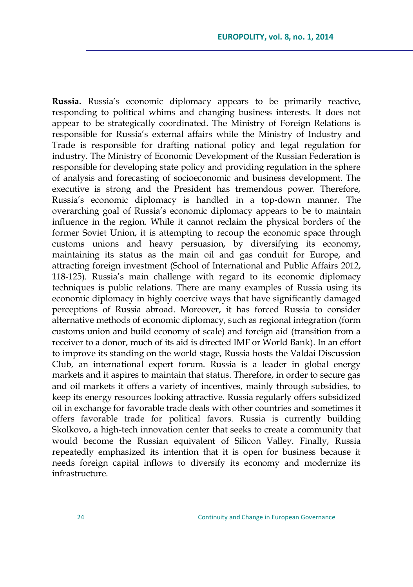Russia. Russia's economic diplomacy appears to be primarily reactive, responding to political whims and changing business interests. It does not appear to be strategically coordinated. The Ministry of Foreign Relations is responsible for Russia"s external affairs while the Ministry of Industry and Trade is responsible for drafting national policy and legal regulation for industry. The Ministry of Economic Development of the Russian Federation is responsible for developing state policy and providing regulation in the sphere of analysis and forecasting of socioeconomic and business development. The executive is strong and the President has tremendous power. Therefore, Russia"s economic diplomacy is handled in a top-down manner. The overarching goal of Russia"s economic diplomacy appears to be to maintain influence in the region. While it cannot reclaim the physical borders of the former Soviet Union, it is attempting to recoup the economic space through customs unions and heavy persuasion, by diversifying its economy, maintaining its status as the main oil and gas conduit for Europe, and attracting foreign investment (School of International and Public Affairs 2012, 118-125). Russia's main challenge with regard to its economic diplomacy techniques is public relations. There are many examples of Russia using its economic diplomacy in highly coercive ways that have significantly damaged perceptions of Russia abroad. Moreover, it has forced Russia to consider alternative methods of economic diplomacy, such as regional integration (form customs union and build economy of scale) and foreign aid (transition from a receiver to a donor, much of its aid is directed IMF or World Bank). In an effort to improve its standing on the world stage, Russia hosts the Valdai Discussion Club, an international expert forum. Russia is a leader in global energy markets and it aspires to maintain that status. Therefore, in order to secure gas and oil markets it offers a variety of incentives, mainly through subsidies, to keep its energy resources looking attractive. Russia regularly offers subsidized oil in exchange for favorable trade deals with other countries and sometimes it offers favorable trade for political favors. Russia is currently building Skolkovo, a high-tech innovation center that seeks to create a community that would become the Russian equivalent of Silicon Valley. Finally, Russia repeatedly emphasized its intention that it is open for business because it needs foreign capital inflows to diversify its economy and modernize its infrastructure.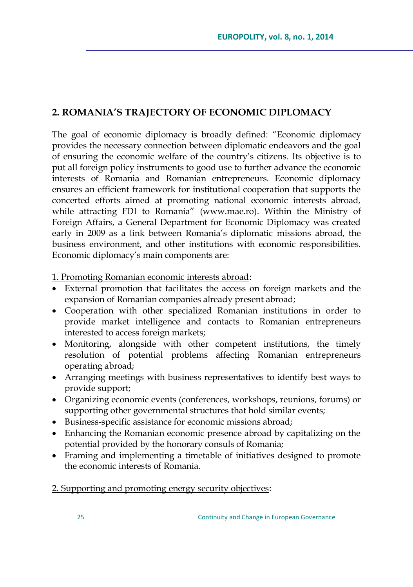# **2. ROMANIA'S TRAJECTORY OF ECONOMIC DIPLOMACY**

The goal of economic diplomacy is broadly defined: "Economic diplomacy provides the necessary connection between diplomatic endeavors and the goal of ensuring the economic welfare of the country"s citizens. Its objective is to put all foreign policy instruments to good use to further advance the economic interests of Romania and Romanian entrepreneurs. Economic diplomacy ensures an efficient framework for institutional cooperation that supports the concerted efforts aimed at promoting national economic interests abroad, while attracting FDI to Romania" (www.mae.ro). Within the Ministry of Foreign Affairs, a General Department for Economic Diplomacy was created early in 2009 as a link between Romania"s diplomatic missions abroad, the business environment, and other institutions with economic responsibilities. Economic diplomacy's main components are:

1. Promoting Romanian economic interests abroad:

- External promotion that facilitates the access on foreign markets and the expansion of Romanian companies already present abroad;
- Cooperation with other specialized Romanian institutions in order to provide market intelligence and contacts to Romanian entrepreneurs interested to access foreign markets;
- Monitoring, alongside with other competent institutions, the timely resolution of potential problems affecting Romanian entrepreneurs operating abroad;
- Arranging meetings with business representatives to identify best ways to provide support;
- Organizing economic events (conferences, workshops, reunions, forums) or supporting other governmental structures that hold similar events;
- Business-specific assistance for economic missions abroad;
- Enhancing the Romanian economic presence abroad by capitalizing on the potential provided by the honorary consuls of Romania;
- Framing and implementing a timetable of initiatives designed to promote the economic interests of Romania.

2. Supporting and promoting energy security objectives: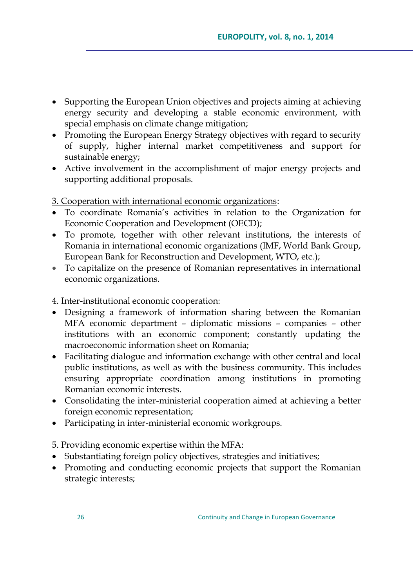- Supporting the European Union objectives and projects aiming at achieving energy security and developing a stable economic environment, with special emphasis on climate change mitigation;
- Promoting the European Energy Strategy objectives with regard to security of supply, higher internal market competitiveness and support for sustainable energy;
- Active involvement in the accomplishment of major energy projects and supporting additional proposals.

## 3. Cooperation with international economic organizations:

- To coordinate Romania"s activities in relation to the Organization for Economic Cooperation and Development (OECD);
- To promote, together with other relevant institutions, the interests of Romania in international economic organizations (IMF, World Bank Group, European Bank for Reconstruction and Development, WTO, etc.);
- To capitalize on the presence of Romanian representatives in international economic organizations.

### 4. Inter-institutional economic cooperation:

- Designing a framework of information sharing between the Romanian MFA economic department – diplomatic missions – companies – other institutions with an economic component; constantly updating the macroeconomic information sheet on Romania;
- Facilitating dialogue and information exchange with other central and local public institutions, as well as with the business community. This includes ensuring appropriate coordination among institutions in promoting Romanian economic interests.
- Consolidating the inter-ministerial cooperation aimed at achieving a better foreign economic representation;
- Participating in inter-ministerial economic workgroups.

## 5. Providing economic expertise within the MFA:

- Substantiating foreign policy objectives, strategies and initiatives;
- Promoting and conducting economic projects that support the Romanian strategic interests;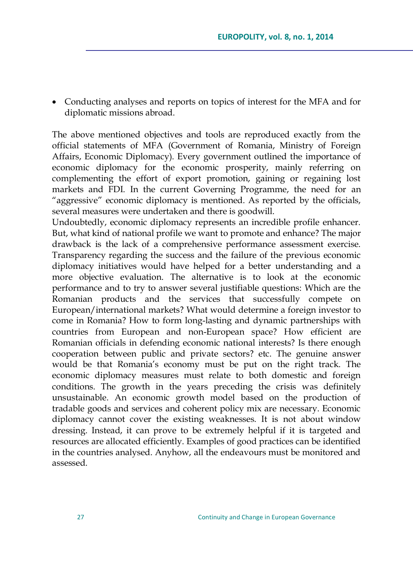Conducting analyses and reports on topics of interest for the MFA and for diplomatic missions abroad.

The above mentioned objectives and tools are reproduced exactly from the official statements of MFA (Government of Romania, Ministry of Foreign Affairs, Economic Diplomacy). Every government outlined the importance of economic diplomacy for the economic prosperity, mainly referring on complementing the effort of export promotion, gaining or regaining lost markets and FDI. In the current Governing Programme, the need for an "aggressive" economic diplomacy is mentioned. As reported by the officials, several measures were undertaken and there is goodwill.

Undoubtedly, economic diplomacy represents an incredible profile enhancer. But, what kind of national profile we want to promote and enhance? The major drawback is the lack of a comprehensive performance assessment exercise. Transparency regarding the success and the failure of the previous economic diplomacy initiatives would have helped for a better understanding and a more objective evaluation. The alternative is to look at the economic performance and to try to answer several justifiable questions: Which are the Romanian products and the services that successfully compete on European/international markets? What would determine a foreign investor to come in Romania? How to form long-lasting and dynamic partnerships with countries from European and non-European space? How efficient are Romanian officials in defending economic national interests? Is there enough cooperation between public and private sectors? etc. The genuine answer would be that Romania"s economy must be put on the right track. The economic diplomacy measures must relate to both domestic and foreign conditions. The growth in the years preceding the crisis was definitely unsustainable. An economic growth model based on the production of tradable goods and services and coherent policy mix are necessary. Economic diplomacy cannot cover the existing weaknesses. It is not about window dressing. Instead, it can prove to be extremely helpful if it is targeted and resources are allocated efficiently. Examples of good practices can be identified in the countries analysed. Anyhow, all the endeavours must be monitored and assessed.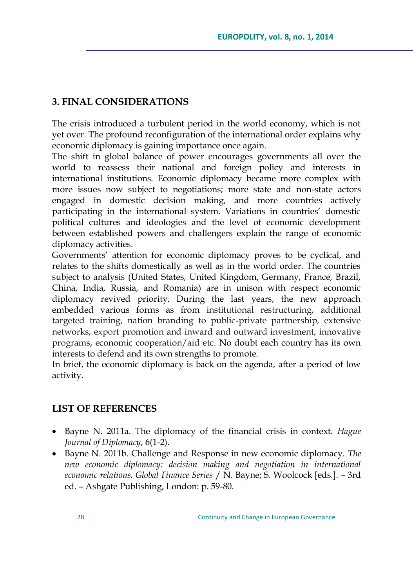# **3. FINAL CONSIDERATIONS**

The crisis introduced a turbulent period in the world economy, which is not yet over. The profound reconfiguration of the international order explains why economic diplomacy is gaining importance once again.

The shift in global balance of power encourages governments all over the world to reassess their national and foreign policy and interests in international institutions. Economic diplomacy became more complex with more issues now subject to negotiations; more state and non-state actors engaged in domestic decision making, and more countries actively participating in the international system. Variations in countries' domestic political cultures and ideologies and the level of economic development between established powers and challengers explain the range of economic diplomacy activities.

Governments" attention for economic diplomacy proves to be cyclical, and relates to the shifts domestically as well as in the world order. The countries subject to analysis (United States, United Kingdom, Germany, France, Brazil, China, India, Russia, and Romania) are in unison with respect economic diplomacy revived priority. During the last years, the new approach embedded various forms as from institutional restructuring, additional targeted training, nation branding to public-private partnership, extensive networks, export promotion and inward and outward investment, innovative programs, economic cooperation/aid etc. No doubt each country has its own interests to defend and its own strengths to promote.

In brief, the economic diplomacy is back on the agenda, after a period of low activity.

# **LIST OF REFERENCES**

- Bayne N. 2011a. The diplomacy of the financial crisis in context. *Hague Journal of Diplomacy*, 6(1-2).
- Bayne N. 2011b. Challenge and Response in new economic diplomacy*. The new economic diplomacy: decision making and negotiation in international economic relations. Global Finance Series* / N. Bayne; S. Woolcock [eds.]. – 3rd ed. – Ashgate Publishing, London: p. 59-80.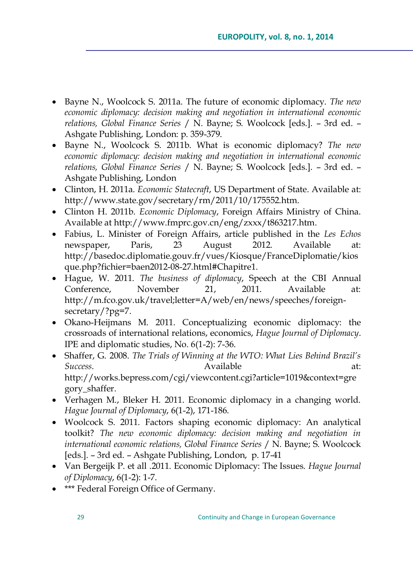- Bayne N., Woolcock S. 2011a. The future of economic diplomacy. *The new economic diplomacy: decision making and negotiation in international economic relations, Global Finance Series* / N. Bayne; S. Woolcock [eds.]. – 3rd ed. – Ashgate Publishing, London: p. 359-379.
- Bayne N., Woolcock S. 2011b. What is economic diplomacy? *The new economic diplomacy: decision making and negotiation in international economic relations, Global Finance Series* / N. Bayne; S. Woolcock [eds.]. – 3rd ed. – Ashgate Publishing, London
- Clinton, H. 2011a. *Economic Statecraft*, US Department of State. Available at: [http://www.state.gov/secretary/rm/2011/10/175552.htm.](http://www.state.gov/secretary/rm/2011/10/175552.htm)
- Clinton H. 2011b. *Economic Diplomacy*, Foreign Affairs Ministry of China. Available at [http://www.fmprc.gov.cn/eng/zxxx/t863217.htm.](http://www.fmprc.gov.cn/eng/zxxx/t863217.htm)
- Fabius, L. Minister of Foreign Affairs, article published in the *Les Echos* newspaper, Paris, 23 August 2012. Available at: [http://basedoc.diplomatie.gouv.fr/vues/Kiosque/FranceDiplomatie/kios](http://basedoc.diplomatie.gouv.fr/vues/Kiosque/FranceDiplomatie/kiosque.php?fichier=baen2012-08-27.html#Chapitre1) [que.php?fichier=baen2012-08-27.html#Chapitre1.](http://basedoc.diplomatie.gouv.fr/vues/Kiosque/FranceDiplomatie/kiosque.php?fichier=baen2012-08-27.html#Chapitre1)
- Hague, W. 2011. *The business of diplomacy*, Speech at the CBI Annual Conference, November 21, 2011. Available at: [http://m.fco.gov.uk/travel;letter=A/web/en/news/speeches/foreign](http://m.fco.gov.uk/travel;letter=A/web/en/news/speeches/foreign-secretary/?pg=7)[secretary/?pg=7.](http://m.fco.gov.uk/travel;letter=A/web/en/news/speeches/foreign-secretary/?pg=7)
- Okano-Heijmans M. 2011. Conceptualizing economic diplomacy: the crossroads of international relations, economics, *Hague Journal of Diplomacy*. IPE and diplomatic studies, No. 6(1-2): 7-36.
- Shaffer, G. 2008. *The Trials of Winning at the WTO: What Lies Behind Brazil's*  **Success.** Available at: http://works.bepress.com/cgi/viewcontent.cgi?article=1019&context=gre gory\_shaffer.
- Verhagen M., Bleker H. 2011. Economic diplomacy in a changing world. *Hague Journal of Diplomacy*, 6(1-2), 171-186.
- Woolcock S. 2011. Factors shaping economic diplomacy: An analytical toolkit? *The new economic diplomacy: decision making and negotiation in international economic relations, Global Finance Series* / N. Bayne; S. Woolcock [eds.]. – 3rd ed. – Ashgate Publishing, London, p. 17-41
- Van Bergeijk P. et all .2011. Economic Diplomacy: The Issues. *Hague Journal of Diplomacy*, 6(1-2): 1-7.
- \*\*\* Federal Foreign Office of Germany.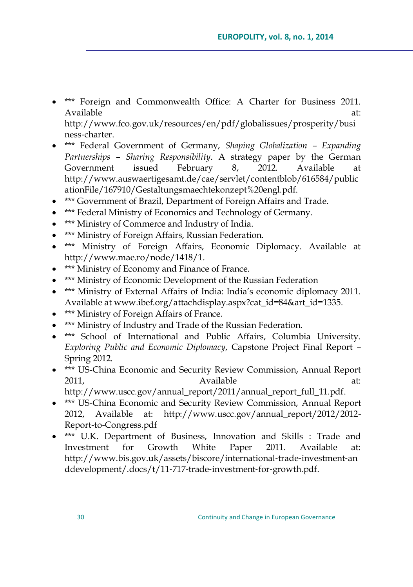- \*\*\* Foreign and Commonwealth Office: A Charter for Business 2011. Available at:  $\overline{a}$  at: [http://www.fco.gov.uk/resources/en/pdf/globalissues/prosperity/busi](http://www.fco.gov.uk/resources/en/pdf/globalissues/prosperity/business?charter) ness‐[charter.](http://www.fco.gov.uk/resources/en/pdf/globalissues/prosperity/business?charter)
- \*\*\* Federal Government of Germany, *Shaping Globalization – Expanding Partnerships – Sharing Responsibility*. A strategy paper by the German Government issued February 8, 2012. Available at [http://www.auswaertigesamt.de/cae/servlet/contentblob/616584/public](http://www.auswaertigesamt.de/cae/servlet/contentblob/616584/publicationFile/167910/Gestaltungsmaechtekonzept%20engl.pdf) [ationFile/167910/Gestaltungsmaechtekonzept%20engl.pdf.](http://www.auswaertigesamt.de/cae/servlet/contentblob/616584/publicationFile/167910/Gestaltungsmaechtekonzept%20engl.pdf)
- \*\*\* Government of Brazil, Department of Foreign Affairs and Trade.
- \*\*\* Federal Ministry of Economics and Technology of Germany.
- **\*\*\*** Ministry of Commerce and Industry of India.
- \*\*\* Ministry of Foreign Affairs, Russian Federation.
- \*\*\* Ministry of Foreign Affairs, Economic Diplomacy. Available at [http://www.mae.ro/node/1418/1.](http://www.mae.ro/node/1418/1)
- \*\*\* Ministry of Economy and Finance of France.
- \*\*\* Ministry of Economic Development of the Russian Federation
- \*\*\* Ministry of External Affairs of India: India's economic diplomacy 2011. Available at [www.ibef.org/attachdisplay.aspx?cat\\_id=84&art\\_id=1335.](http://www.ibef.org/attachdisplay.aspx?cat_id=84&art_id=1335)
- **\*\*\*** Ministry of Foreign Affairs of France.
- \*\*\* Ministry of Industry and Trade of the Russian Federation.
- \*\*\* School of International and Public Affairs, Columbia University. *Exploring Public and Economic Diplomacy*, Capstone Project Final Report – Spring 2012.
- \*\*\* US-China Economic and Security Review Commission, Annual Report 2011, 2011, 2011, 2011, 2011, 2011, 2011, 2011, 2012, 2012, 2012, 2012, 2012, 201

[http://www.uscc.gov/annual\\_report/2011/annual\\_report\\_full\\_11.pdf.](http://www.uscc.gov/annual_report/2011/annual_report_full_11.pdf)

- \*\*\* US-China Economic and Security Review Commission, Annual Report 2012, Available at: http://www.uscc.gov/annual\_report/2012/2012- Report-to-Congress.pdf
- \*\*\* U.K. Department of Business, Innovation and Skills : Trade and Investment for Growth White Paper 2011. Available at: [http://www.bis.gov.uk/assets/biscore/international](http://www.bis.gov.uk/assets/biscore/international?trade?investment?anddevelopment/.docs/t/11?717?trade?investment?for?growth.pdf)‐trade‐investment‐an [ddevelopment/.docs/t/11](http://www.bis.gov.uk/assets/biscore/international?trade?investment?anddevelopment/.docs/t/11?717?trade?investment?for?growth.pdf)‐717‐trade‐investment‐for‐growth.pdf.